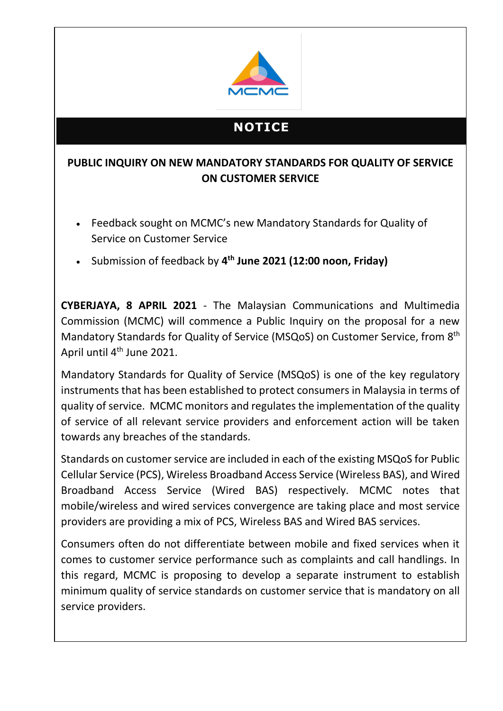

## **NOTICE**

## **PUBLIC INQUIRY ON NEW MANDATORY STANDARDS FOR QUALITY OF SERVICE ON CUSTOMER SERVICE**

- Feedback sought on MCMC's new Mandatory Standards for Quality of Service on Customer Service
- Submission of feedback by **4 th June 2021 (12:00 noon, Friday)**

**CYBERJAYA, 8 APRIL 2021** - The Malaysian Communications and Multimedia Commission (MCMC) will commence a Public Inquiry on the proposal for a new Mandatory Standards for Quality of Service (MSQoS) on Customer Service, from 8<sup>th</sup> April until 4<sup>th</sup> June 2021.

Mandatory Standards for Quality of Service (MSQoS) is one of the key regulatory instruments that has been established to protect consumers in Malaysia in terms of quality of service. MCMC monitors and regulates the implementation of the quality of service of all relevant service providers and enforcement action will be taken towards any breaches of the standards.

Standards on customer service are included in each of the existing MSQoS for Public Cellular Service (PCS), Wireless Broadband Access Service (Wireless BAS), and Wired Broadband Access Service (Wired BAS) respectively. MCMC notes that mobile/wireless and wired services convergence are taking place and most service providers are providing a mix of PCS, Wireless BAS and Wired BAS services.

Consumers often do not differentiate between mobile and fixed services when it comes to customer service performance such as complaints and call handlings. In this regard, MCMC is proposing to develop a separate instrument to establish minimum quality of service standards on customer service that is mandatory on all service providers.